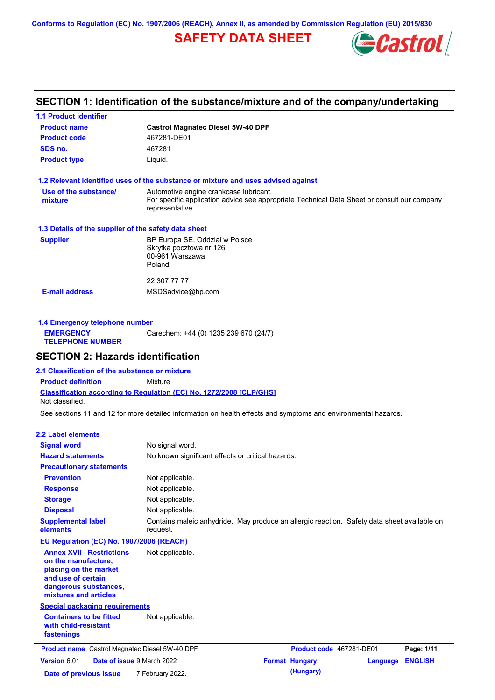**Conforms to Regulation (EC) No. 1907/2006 (REACH), Annex II, as amended by Commission Regulation (EU) 2015/830**

# **SAFETY DATA SHEET**



## **SECTION 1: Identification of the substance/mixture and of the company/undertaking**

| <b>1.1 Product identifier</b>                        |                                                                                                                                       |
|------------------------------------------------------|---------------------------------------------------------------------------------------------------------------------------------------|
| <b>Product name</b>                                  | <b>Castrol Magnatec Diesel 5W-40 DPF</b>                                                                                              |
| <b>Product code</b>                                  | 467281-DE01                                                                                                                           |
| SDS no.                                              | 467281                                                                                                                                |
| <b>Product type</b>                                  | Liquid.                                                                                                                               |
|                                                      | 1.2 Relevant identified uses of the substance or mixture and uses advised against                                                     |
| Use of the substance/<br>mixture                     | Automotive engine crankcase lubricant.<br>For specific application advice see appropriate Technical Data Sheet or consult our company |
|                                                      | representative.                                                                                                                       |
| 1.3 Details of the supplier of the safety data sheet |                                                                                                                                       |
| <b>Supplier</b>                                      | BP Europa SE, Oddział w Polsce                                                                                                        |
|                                                      | Skrytka pocztowa nr 126                                                                                                               |
|                                                      | 00-961 Warszawa<br>Poland                                                                                                             |
|                                                      |                                                                                                                                       |
|                                                      | 22 307 77 77                                                                                                                          |
| <b>E-mail address</b>                                | MSDSadvice@bp.com                                                                                                                     |
|                                                      |                                                                                                                                       |
|                                                      |                                                                                                                                       |

| 1.4 Emergency telephone number              |                                       |  |  |
|---------------------------------------------|---------------------------------------|--|--|
| <b>EMERGENCY</b><br><b>TELEPHONE NUMBER</b> | Carechem: +44 (0) 1235 239 670 (24/7) |  |  |

## **SECTION 2: Hazards identification**

**Classification according to Regulation (EC) No. 1272/2008 [CLP/GHS] 2.1 Classification of the substance or mixture Product definition** Mixture Not classified.

See sections 11 and 12 for more detailed information on health effects and symptoms and environmental hazards.

### **2.2 Label elements**

| <b>Signal word</b>                                                                                                                                       | No signal word.                                                                                         |                          |          |                |
|----------------------------------------------------------------------------------------------------------------------------------------------------------|---------------------------------------------------------------------------------------------------------|--------------------------|----------|----------------|
| <b>Hazard statements</b>                                                                                                                                 | No known significant effects or critical hazards.                                                       |                          |          |                |
| <b>Precautionary statements</b>                                                                                                                          |                                                                                                         |                          |          |                |
| <b>Prevention</b>                                                                                                                                        | Not applicable.                                                                                         |                          |          |                |
| <b>Response</b>                                                                                                                                          | Not applicable.                                                                                         |                          |          |                |
| <b>Storage</b>                                                                                                                                           | Not applicable.                                                                                         |                          |          |                |
| <b>Disposal</b>                                                                                                                                          | Not applicable.                                                                                         |                          |          |                |
| <b>Supplemental label</b><br>elements                                                                                                                    | Contains maleic anhydride. May produce an allergic reaction. Safety data sheet available on<br>request. |                          |          |                |
| <b>EU Regulation (EC) No. 1907/2006 (REACH)</b>                                                                                                          |                                                                                                         |                          |          |                |
| <b>Annex XVII - Restrictions</b><br>on the manufacture,<br>placing on the market<br>and use of certain<br>dangerous substances,<br>mixtures and articles | Not applicable.                                                                                         |                          |          |                |
| <b>Special packaging requirements</b>                                                                                                                    |                                                                                                         |                          |          |                |
| <b>Containers to be fitted</b><br>with child-resistant<br>fastenings                                                                                     | Not applicable.                                                                                         |                          |          |                |
| <b>Product name</b> Castrol Magnatec Diesel 5W-40 DPF                                                                                                    |                                                                                                         | Product code 467281-DE01 |          | Page: 1/11     |
| Version 6.01<br>Date of issue 9 March 2022                                                                                                               |                                                                                                         | <b>Format Hungary</b>    | Language | <b>ENGLISH</b> |
| Date of previous issue                                                                                                                                   | 7 February 2022.                                                                                        | (Hungary)                |          |                |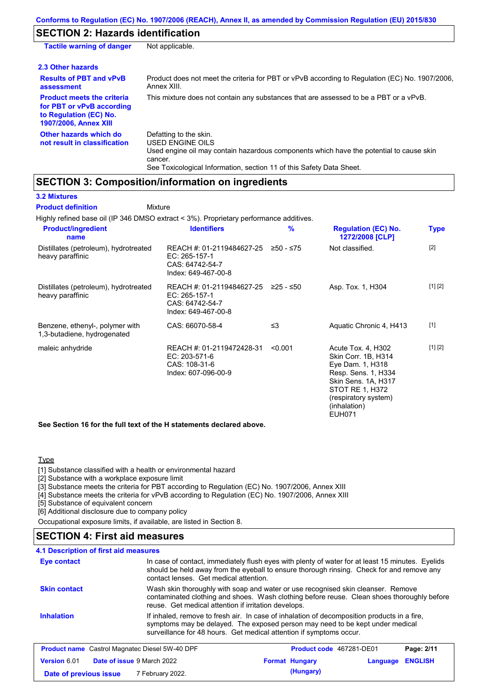## **SECTION 2: Hazards identification**

| <b>Tactile warning of danger</b>                                                                                         | Not applicable.                                                                                                                                                                                                                 |
|--------------------------------------------------------------------------------------------------------------------------|---------------------------------------------------------------------------------------------------------------------------------------------------------------------------------------------------------------------------------|
| 2.3 Other hazards                                                                                                        |                                                                                                                                                                                                                                 |
| <b>Results of PBT and vPvB</b><br>assessment                                                                             | Product does not meet the criteria for PBT or vPvB according to Regulation (EC) No. 1907/2006,<br>Annex XIII.                                                                                                                   |
| <b>Product meets the criteria</b><br>for PBT or vPvB according<br>to Regulation (EC) No.<br><b>1907/2006, Annex XIII</b> | This mixture does not contain any substances that are assessed to be a PBT or a vPvB.                                                                                                                                           |
| Other hazards which do<br>not result in classification                                                                   | Defatting to the skin.<br><b>USED ENGINE OILS</b><br>Used engine oil may contain hazardous components which have the potential to cause skin<br>cancer.<br>See Toxicological Information, section 11 of this Safety Data Sheet. |

## **SECTION 3: Composition/information on ingredients**

### **3.2 Mixtures**

Highly refined base oil (IP 346 DMSO extract < 3%). Proprietary performance additives. Distillates (petroleum), hydrotreated heavy paraffinic REACH #: 01-2119484627-25 EC: 265-157-1 CAS: 64742-54-7 Index: 649-467-00-8 Not classified. [2] Distillates (petroleum), hydrotreated heavy paraffinic REACH #: 01-2119484627-25 EC: 265-157-1 CAS: 64742-54-7 Index: 649-467-00-8 Asp. Tox. 1, H304 [1] [2] Benzene, ethenyl-, polymer with 1,3-butadiene, hydrogenated CAS: 66070-58-4 ≤3 Aquatic Chronic 4, H413 [1] maleic anhydride **REACH #: 01-2119472428-31** <0.001 EC: 203-571-6 CAS: 108-31-6 Index: 607-096-00-9 Acute Tox. 4, H302 Skin Corr. 1B, H314 Eye Dam. 1, H318 Resp. Sens. 1, H334 Skin Sens. 1A, H317 STOT RE 1, H372 (respiratory system) (inhalation) EUH071 [1] [2] **Product/ingredient name % Regulation (EC) No. Identifiers Type 1272/2008 [CLP] Mixture Product definition**

**See Section 16 for the full text of the H statements declared above.**

### Type

[1] Substance classified with a health or environmental hazard

[2] Substance with a workplace exposure limit

[3] Substance meets the criteria for PBT according to Regulation (EC) No. 1907/2006, Annex XIII

[4] Substance meets the criteria for vPvB according to Regulation (EC) No. 1907/2006, Annex XIII

[5] Substance of equivalent concern

[6] Additional disclosure due to company policy

Occupational exposure limits, if available, are listed in Section 8.

### **SECTION 4: First aid measures**

**4.1 Description of first aid measures**

| Eye contact                                                                                                                                                                                                                                                              | contact lenses. Get medical attention.                | In case of contact, immediately flush eyes with plenty of water for at least 15 minutes. Eyelids<br>should be held away from the eyeball to ensure thorough rinsing. Check for and remove any |            |
|--------------------------------------------------------------------------------------------------------------------------------------------------------------------------------------------------------------------------------------------------------------------------|-------------------------------------------------------|-----------------------------------------------------------------------------------------------------------------------------------------------------------------------------------------------|------------|
| <b>Skin contact</b>                                                                                                                                                                                                                                                      | reuse. Get medical attention if irritation develops.  | Wash skin thoroughly with soap and water or use recognised skin cleanser. Remove<br>contaminated clothing and shoes. Wash clothing before reuse. Clean shoes thoroughly before                |            |
| <b>Inhalation</b><br>If inhaled, remove to fresh air. In case of inhalation of decomposition products in a fire,<br>symptoms may be delayed. The exposed person may need to be kept under medical<br>surveillance for 48 hours. Get medical attention if symptoms occur. |                                                       |                                                                                                                                                                                               |            |
|                                                                                                                                                                                                                                                                          | <b>Product name</b> Castrol Magnatec Diesel 5W-40 DPF | <b>Product code</b> 467281-DE01                                                                                                                                                               | Page: 2/11 |

| <b>Product name</b> Castrol Magnatec Diesel 5W-40 DPF    |  |                  | <b>Product code</b> 467281-DE01 | Page: 2/11       |  |  |
|----------------------------------------------------------|--|------------------|---------------------------------|------------------|--|--|
| <b>Date of issue 9 March 2022</b><br><b>Version 6.01</b> |  |                  | <b>Format Hungary</b>           | Language ENGLISH |  |  |
| Date of previous issue                                   |  | 7 February 2022. |                                 | (Hungary)        |  |  |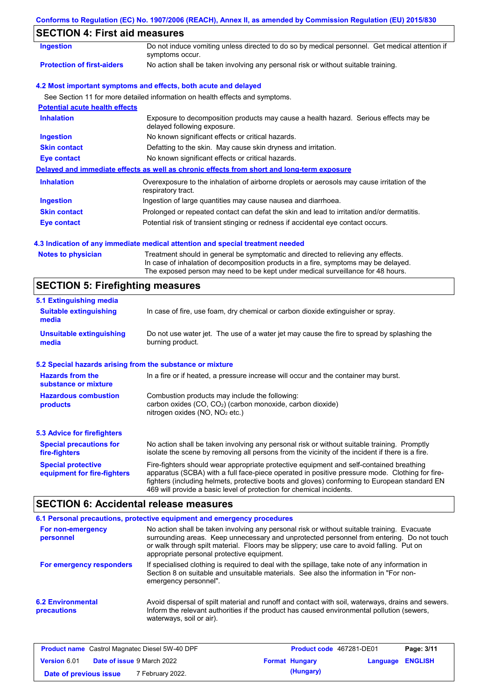| Conforms to Regulation (EC) No. 1907/2006 (REACH), Annex II, as amended by Commission Regulation (EU) 2015/830 |  |  |  |  |
|----------------------------------------------------------------------------------------------------------------|--|--|--|--|
|                                                                                                                |  |  |  |  |

## **SECTION 4: First aid measures**

| Ingestion                             | Do not induce vomiting unless directed to do so by medical personnel. Get medical attention if<br>symptoms occur.   |
|---------------------------------------|---------------------------------------------------------------------------------------------------------------------|
| <b>Protection of first-aiders</b>     | No action shall be taken involving any personal risk or without suitable training.                                  |
|                                       | 4.2 Most important symptoms and effects, both acute and delayed                                                     |
|                                       | See Section 11 for more detailed information on health effects and symptoms.                                        |
| <b>Potential acute health effects</b> |                                                                                                                     |
| <b>Inhalation</b>                     | Exposure to decomposition products may cause a health hazard. Serious effects may be<br>delayed following exposure. |
| <b>Ingestion</b>                      | No known significant effects or critical hazards.                                                                   |
| <b>Skin contact</b>                   | Defatting to the skin. May cause skin dryness and irritation.                                                       |
| Eye contact                           | No known significant effects or critical hazards.                                                                   |
|                                       | Delayed and immediate effects as well as chronic effects from short and long-term exposure                          |
| <b>Inhalation</b>                     | Overexposure to the inhalation of airborne droplets or aerosols may cause irritation of the<br>respiratory tract.   |
| Ingestion                             | Ingestion of large quantities may cause nausea and diarrhoea.                                                       |
| <b>Skin contact</b>                   | Prolonged or repeated contact can defat the skin and lead to irritation and/or dermatitis.                          |
| Eye contact                           | Potential risk of transient stinging or redness if accidental eye contact occurs.                                   |

### **4.3 Indication of any immediate medical attention and special treatment needed**

| <b>Notes to physician</b> | Treatment should in general be symptomatic and directed to relieving any effects.   |
|---------------------------|-------------------------------------------------------------------------------------|
|                           | In case of inhalation of decomposition products in a fire, symptoms may be delayed. |
|                           | The exposed person may need to be kept under medical surveillance for 48 hours.     |

# **SECTION 5: Firefighting measures**

| 5.1 Extinguishing media                                   |                                                                                                                                                                                                                                                                                                                                                                   |
|-----------------------------------------------------------|-------------------------------------------------------------------------------------------------------------------------------------------------------------------------------------------------------------------------------------------------------------------------------------------------------------------------------------------------------------------|
| <b>Suitable extinguishing</b><br>media                    | In case of fire, use foam, dry chemical or carbon dioxide extinguisher or spray.                                                                                                                                                                                                                                                                                  |
| <b>Unsuitable extinguishing</b><br>media                  | Do not use water jet. The use of a water jet may cause the fire to spread by splashing the<br>burning product.                                                                                                                                                                                                                                                    |
| 5.2 Special hazards arising from the substance or mixture |                                                                                                                                                                                                                                                                                                                                                                   |
| <b>Hazards from the</b><br>substance or mixture           | In a fire or if heated, a pressure increase will occur and the container may burst.                                                                                                                                                                                                                                                                               |
| <b>Hazardous combustion</b><br>products                   | Combustion products may include the following:<br>carbon oxides $(CO, CO2)$ (carbon monoxide, carbon dioxide)<br>nitrogen oxides (NO, NO <sub>2</sub> etc.)                                                                                                                                                                                                       |
| <b>5.3 Advice for firefighters</b>                        |                                                                                                                                                                                                                                                                                                                                                                   |
| <b>Special precautions for</b><br>fire-fighters           | No action shall be taken involving any personal risk or without suitable training. Promptly<br>isolate the scene by removing all persons from the vicinity of the incident if there is a fire.                                                                                                                                                                    |
| <b>Special protective</b><br>equipment for fire-fighters  | Fire-fighters should wear appropriate protective equipment and self-contained breathing<br>apparatus (SCBA) with a full face-piece operated in positive pressure mode. Clothing for fire-<br>fighters (including helmets, protective boots and gloves) conforming to European standard EN<br>469 will provide a basic level of protection for chemical incidents. |

# **SECTION 6: Accidental release measures**

|                                         | 6.1 Personal precautions, protective equipment and emergency procedures                                                                                                                                                                                                                                                             |
|-----------------------------------------|-------------------------------------------------------------------------------------------------------------------------------------------------------------------------------------------------------------------------------------------------------------------------------------------------------------------------------------|
| For non-emergency<br>personnel          | No action shall be taken involving any personal risk or without suitable training. Evacuate<br>surrounding areas. Keep unnecessary and unprotected personnel from entering. Do not touch<br>or walk through spilt material. Floors may be slippery; use care to avoid falling. Put on<br>appropriate personal protective equipment. |
| For emergency responders                | If specialised clothing is required to deal with the spillage, take note of any information in<br>Section 8 on suitable and unsuitable materials. See also the information in "For non-<br>emergency personnel".                                                                                                                    |
| <b>6.2 Environmental</b><br>precautions | Avoid dispersal of spilt material and runoff and contact with soil, waterways, drains and sewers.<br>Inform the relevant authorities if the product has caused environmental pollution (sewers,<br>waterways, soil or air).                                                                                                         |

| <b>Product name</b> Castrol Magnatec Diesel 5W-40 DPF    |  |                             | <b>Product code</b> 467281-DE01 | Page: 3/11              |  |  |
|----------------------------------------------------------|--|-----------------------------|---------------------------------|-------------------------|--|--|
| <b>Date of issue 9 March 2022</b><br><b>Version 6.01</b> |  |                             | <b>Format Hungary</b>           | <b>Language ENGLISH</b> |  |  |
| Date of previous issue                                   |  | <sup>7</sup> February 2022. |                                 | (Hungary)               |  |  |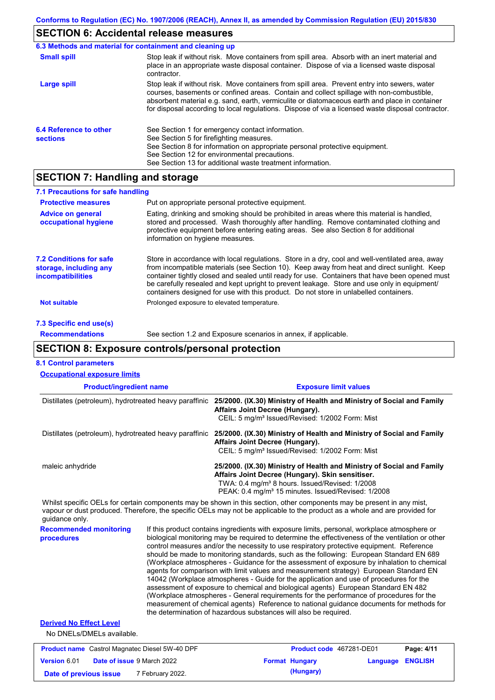# **SECTION 6: Accidental release measures**

|                                                  | 6.3 Methods and material for containment and cleaning up                                                                                                                                                                                                                                                                                                                                       |
|--------------------------------------------------|------------------------------------------------------------------------------------------------------------------------------------------------------------------------------------------------------------------------------------------------------------------------------------------------------------------------------------------------------------------------------------------------|
| <b>Small spill</b>                               | Stop leak if without risk. Move containers from spill area. Absorb with an inert material and<br>place in an appropriate waste disposal container. Dispose of via a licensed waste disposal<br>contractor.                                                                                                                                                                                     |
| Large spill                                      | Stop leak if without risk. Move containers from spill area. Prevent entry into sewers, water<br>courses, basements or confined areas. Contain and collect spillage with non-combustible,<br>absorbent material e.g. sand, earth, vermiculite or diatomaceous earth and place in container<br>for disposal according to local regulations. Dispose of via a licensed waste disposal contractor. |
| <b>6.4 Reference to other</b><br><b>sections</b> | See Section 1 for emergency contact information.<br>See Section 5 for firefighting measures.<br>See Section 8 for information on appropriate personal protective equipment.<br>See Section 12 for environmental precautions.<br>See Section 13 for additional waste treatment information.                                                                                                     |

## **SECTION 7: Handling and storage**

| 7.1 Precautions for safe handling                                                    |                                                                                                                                                                                                                                                                                                                                                                                                                                                                                          |
|--------------------------------------------------------------------------------------|------------------------------------------------------------------------------------------------------------------------------------------------------------------------------------------------------------------------------------------------------------------------------------------------------------------------------------------------------------------------------------------------------------------------------------------------------------------------------------------|
| <b>Protective measures</b>                                                           | Put on appropriate personal protective equipment.                                                                                                                                                                                                                                                                                                                                                                                                                                        |
| <b>Advice on general</b><br>occupational hygiene                                     | Eating, drinking and smoking should be prohibited in areas where this material is handled,<br>stored and processed. Wash thoroughly after handling. Remove contaminated clothing and<br>protective equipment before entering eating areas. See also Section 8 for additional<br>information on hygiene measures.                                                                                                                                                                         |
| <b>7.2 Conditions for safe</b><br>storage, including any<br><i>incompatibilities</i> | Store in accordance with local regulations. Store in a dry, cool and well-ventilated area, away<br>from incompatible materials (see Section 10). Keep away from heat and direct sunlight. Keep<br>container tightly closed and sealed until ready for use. Containers that have been opened must<br>be carefully resealed and kept upright to prevent leakage. Store and use only in equipment/<br>containers designed for use with this product. Do not store in unlabelled containers. |
| <b>Not suitable</b>                                                                  | Prolonged exposure to elevated temperature.                                                                                                                                                                                                                                                                                                                                                                                                                                              |
| 7.3 Specific end use(s)                                                              |                                                                                                                                                                                                                                                                                                                                                                                                                                                                                          |
| <b>Recommendations</b>                                                               | See section 1.2 and Exposure scenarios in annex, if applicable.                                                                                                                                                                                                                                                                                                                                                                                                                          |

# **SECTION 8: Exposure controls/personal protection**

| <b>8.1 Control parameters</b>                                         |  |                                                                                                                                                                                                                                                                                                                                                                                                                                                                                                                                                                                                                                                                                                                                                                                                                                                                                                                                                                                                                            |
|-----------------------------------------------------------------------|--|----------------------------------------------------------------------------------------------------------------------------------------------------------------------------------------------------------------------------------------------------------------------------------------------------------------------------------------------------------------------------------------------------------------------------------------------------------------------------------------------------------------------------------------------------------------------------------------------------------------------------------------------------------------------------------------------------------------------------------------------------------------------------------------------------------------------------------------------------------------------------------------------------------------------------------------------------------------------------------------------------------------------------|
| <b>Occupational exposure limits</b><br><b>Product/ingredient name</b> |  | <b>Exposure limit values</b>                                                                                                                                                                                                                                                                                                                                                                                                                                                                                                                                                                                                                                                                                                                                                                                                                                                                                                                                                                                               |
| Distillates (petroleum), hydrotreated heavy paraffinic                |  | 25/2000. (IX.30) Ministry of Health and Ministry of Social and Family<br>Affairs Joint Decree (Hungary).<br>CEIL: 5 mg/m <sup>3</sup> Issued/Revised: 1/2002 Form: Mist                                                                                                                                                                                                                                                                                                                                                                                                                                                                                                                                                                                                                                                                                                                                                                                                                                                    |
|                                                                       |  | Distillates (petroleum), hydrotreated heavy paraffinic 25/2000. (IX.30) Ministry of Health and Ministry of Social and Family<br>Affairs Joint Decree (Hungary).<br>CEIL: 5 mg/m <sup>3</sup> Issued/Revised: 1/2002 Form: Mist                                                                                                                                                                                                                                                                                                                                                                                                                                                                                                                                                                                                                                                                                                                                                                                             |
| maleic anhydride                                                      |  | 25/2000. (IX.30) Ministry of Health and Ministry of Social and Family<br>Affairs Joint Decree (Hungary). Skin sensitiser.<br>TWA: 0.4 mg/m <sup>3</sup> 8 hours. Issued/Revised: 1/2008<br>PEAK: 0.4 mg/m <sup>3</sup> 15 minutes. Issued/Revised: 1/2008                                                                                                                                                                                                                                                                                                                                                                                                                                                                                                                                                                                                                                                                                                                                                                  |
| guidance only.                                                        |  | Whilst specific OELs for certain components may be shown in this section, other components may be present in any mist,<br>vapour or dust produced. Therefore, the specific OELs may not be applicable to the product as a whole and are provided for                                                                                                                                                                                                                                                                                                                                                                                                                                                                                                                                                                                                                                                                                                                                                                       |
| <b>Recommended monitoring</b><br>procedures                           |  | If this product contains ingredients with exposure limits, personal, workplace atmosphere or<br>biological monitoring may be required to determine the effectiveness of the ventilation or other<br>control measures and/or the necessity to use respiratory protective equipment. Reference<br>should be made to monitoring standards, such as the following: European Standard EN 689<br>(Workplace atmospheres - Guidance for the assessment of exposure by inhalation to chemical<br>agents for comparison with limit values and measurement strategy) European Standard EN<br>14042 (Workplace atmospheres - Guide for the application and use of procedures for the<br>assessment of exposure to chemical and biological agents) European Standard EN 482<br>(Workplace atmospheres - General requirements for the performance of procedures for the<br>measurement of chemical agents) Reference to national guidance documents for methods for<br>the determination of hazardous substances will also be required. |
| <b>Derived No Effect Level</b><br>No DNELs/DMELs available.           |  |                                                                                                                                                                                                                                                                                                                                                                                                                                                                                                                                                                                                                                                                                                                                                                                                                                                                                                                                                                                                                            |

| <b>Product name</b> Castrol Magnatec Diesel 5W-40 DPF |  | <b>Product code</b> 467281-DE01   |  | Page: 4/11            |                         |  |
|-------------------------------------------------------|--|-----------------------------------|--|-----------------------|-------------------------|--|
| Version 6.01                                          |  | <b>Date of issue 9 March 2022</b> |  | <b>Format Hungary</b> | <b>Language ENGLISH</b> |  |
| Date of previous issue                                |  | 7 February 2022.                  |  | (Hungary)             |                         |  |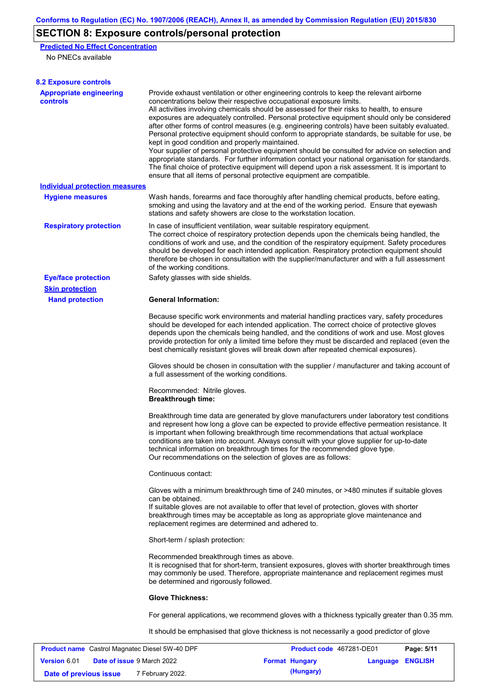# **SECTION 8: Exposure controls/personal protection**

**Predicted No Effect Concentration** No PNECs available

| <b>8.2 Exposure controls</b>                      |                                                                                                                                                                                                                                                                                                                                                                                                                                                                                                                                                                                                                                                                                                                                                                                                                                                                                                                                                                                                         |                          |          |                |  |  |
|---------------------------------------------------|---------------------------------------------------------------------------------------------------------------------------------------------------------------------------------------------------------------------------------------------------------------------------------------------------------------------------------------------------------------------------------------------------------------------------------------------------------------------------------------------------------------------------------------------------------------------------------------------------------------------------------------------------------------------------------------------------------------------------------------------------------------------------------------------------------------------------------------------------------------------------------------------------------------------------------------------------------------------------------------------------------|--------------------------|----------|----------------|--|--|
| <b>Appropriate engineering</b><br><b>controls</b> | Provide exhaust ventilation or other engineering controls to keep the relevant airborne<br>concentrations below their respective occupational exposure limits.<br>All activities involving chemicals should be assessed for their risks to health, to ensure<br>exposures are adequately controlled. Personal protective equipment should only be considered<br>after other forms of control measures (e.g. engineering controls) have been suitably evaluated.<br>Personal protective equipment should conform to appropriate standards, be suitable for use, be<br>kept in good condition and properly maintained.<br>Your supplier of personal protective equipment should be consulted for advice on selection and<br>appropriate standards. For further information contact your national organisation for standards.<br>The final choice of protective equipment will depend upon a risk assessment. It is important to<br>ensure that all items of personal protective equipment are compatible. |                          |          |                |  |  |
| <b>Individual protection measures</b>             |                                                                                                                                                                                                                                                                                                                                                                                                                                                                                                                                                                                                                                                                                                                                                                                                                                                                                                                                                                                                         |                          |          |                |  |  |
| <b>Hygiene measures</b>                           | Wash hands, forearms and face thoroughly after handling chemical products, before eating,<br>smoking and using the lavatory and at the end of the working period. Ensure that eyewash<br>stations and safety showers are close to the workstation location.                                                                                                                                                                                                                                                                                                                                                                                                                                                                                                                                                                                                                                                                                                                                             |                          |          |                |  |  |
| <b>Respiratory protection</b>                     | In case of insufficient ventilation, wear suitable respiratory equipment.<br>The correct choice of respiratory protection depends upon the chemicals being handled, the<br>conditions of work and use, and the condition of the respiratory equipment. Safety procedures<br>should be developed for each intended application. Respiratory protection equipment should<br>therefore be chosen in consultation with the supplier/manufacturer and with a full assessment<br>of the working conditions.                                                                                                                                                                                                                                                                                                                                                                                                                                                                                                   |                          |          |                |  |  |
| <b>Eye/face protection</b>                        | Safety glasses with side shields.                                                                                                                                                                                                                                                                                                                                                                                                                                                                                                                                                                                                                                                                                                                                                                                                                                                                                                                                                                       |                          |          |                |  |  |
| <b>Skin protection</b>                            |                                                                                                                                                                                                                                                                                                                                                                                                                                                                                                                                                                                                                                                                                                                                                                                                                                                                                                                                                                                                         |                          |          |                |  |  |
| <b>Hand protection</b>                            | <b>General Information:</b>                                                                                                                                                                                                                                                                                                                                                                                                                                                                                                                                                                                                                                                                                                                                                                                                                                                                                                                                                                             |                          |          |                |  |  |
|                                                   | Because specific work environments and material handling practices vary, safety procedures<br>should be developed for each intended application. The correct choice of protective gloves<br>depends upon the chemicals being handled, and the conditions of work and use. Most gloves<br>provide protection for only a limited time before they must be discarded and replaced (even the<br>best chemically resistant gloves will break down after repeated chemical exposures).                                                                                                                                                                                                                                                                                                                                                                                                                                                                                                                        |                          |          |                |  |  |
|                                                   | Gloves should be chosen in consultation with the supplier / manufacturer and taking account of<br>a full assessment of the working conditions.                                                                                                                                                                                                                                                                                                                                                                                                                                                                                                                                                                                                                                                                                                                                                                                                                                                          |                          |          |                |  |  |
|                                                   | Recommended: Nitrile gloves.<br><b>Breakthrough time:</b>                                                                                                                                                                                                                                                                                                                                                                                                                                                                                                                                                                                                                                                                                                                                                                                                                                                                                                                                               |                          |          |                |  |  |
|                                                   | Breakthrough time data are generated by glove manufacturers under laboratory test conditions<br>and represent how long a glove can be expected to provide effective permeation resistance. It<br>is important when following breakthrough time recommendations that actual workplace<br>conditions are taken into account. Always consult with your glove supplier for up-to-date<br>technical information on breakthrough times for the recommended glove type.<br>Our recommendations on the selection of gloves are as follows:                                                                                                                                                                                                                                                                                                                                                                                                                                                                      |                          |          |                |  |  |
|                                                   | Continuous contact:                                                                                                                                                                                                                                                                                                                                                                                                                                                                                                                                                                                                                                                                                                                                                                                                                                                                                                                                                                                     |                          |          |                |  |  |
|                                                   | Gloves with a minimum breakthrough time of 240 minutes, or >480 minutes if suitable gloves<br>can be obtained.<br>If suitable gloves are not available to offer that level of protection, gloves with shorter<br>breakthrough times may be acceptable as long as appropriate glove maintenance and<br>replacement regimes are determined and adhered to.                                                                                                                                                                                                                                                                                                                                                                                                                                                                                                                                                                                                                                                |                          |          |                |  |  |
|                                                   | Short-term / splash protection:                                                                                                                                                                                                                                                                                                                                                                                                                                                                                                                                                                                                                                                                                                                                                                                                                                                                                                                                                                         |                          |          |                |  |  |
|                                                   | Recommended breakthrough times as above.<br>It is recognised that for short-term, transient exposures, gloves with shorter breakthrough times<br>may commonly be used. Therefore, appropriate maintenance and replacement regimes must<br>be determined and rigorously followed.                                                                                                                                                                                                                                                                                                                                                                                                                                                                                                                                                                                                                                                                                                                        |                          |          |                |  |  |
|                                                   | <b>Glove Thickness:</b>                                                                                                                                                                                                                                                                                                                                                                                                                                                                                                                                                                                                                                                                                                                                                                                                                                                                                                                                                                                 |                          |          |                |  |  |
|                                                   | For general applications, we recommend gloves with a thickness typically greater than 0.35 mm.                                                                                                                                                                                                                                                                                                                                                                                                                                                                                                                                                                                                                                                                                                                                                                                                                                                                                                          |                          |          |                |  |  |
|                                                   | It should be emphasised that glove thickness is not necessarily a good predictor of glove                                                                                                                                                                                                                                                                                                                                                                                                                                                                                                                                                                                                                                                                                                                                                                                                                                                                                                               |                          |          |                |  |  |
| Product name Castrol Magnatec Diesel 5W-40 DPF    |                                                                                                                                                                                                                                                                                                                                                                                                                                                                                                                                                                                                                                                                                                                                                                                                                                                                                                                                                                                                         | Product code 467281-DE01 |          | Page: 5/11     |  |  |
| Version 6.01<br>Date of issue 9 March 2022        |                                                                                                                                                                                                                                                                                                                                                                                                                                                                                                                                                                                                                                                                                                                                                                                                                                                                                                                                                                                                         | <b>Format Hungary</b>    | Language | <b>ENGLISH</b> |  |  |

**Date of previous issue (Hungary)** 7 February 2022.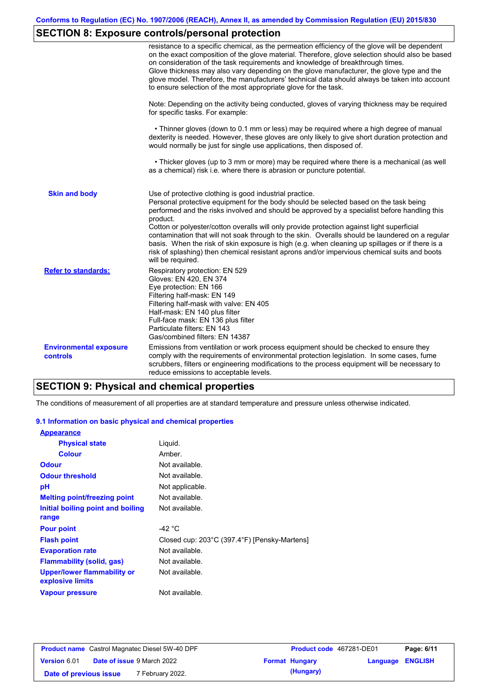# **SECTION 8: Exposure controls/personal protection**

|                                           | resistance to a specific chemical, as the permeation efficiency of the glove will be dependent<br>on the exact composition of the glove material. Therefore, glove selection should also be based<br>on consideration of the task requirements and knowledge of breakthrough times.<br>Glove thickness may also vary depending on the glove manufacturer, the glove type and the<br>glove model. Therefore, the manufacturers' technical data should always be taken into account<br>to ensure selection of the most appropriate glove for the task.                                                                                                                                  |
|-------------------------------------------|---------------------------------------------------------------------------------------------------------------------------------------------------------------------------------------------------------------------------------------------------------------------------------------------------------------------------------------------------------------------------------------------------------------------------------------------------------------------------------------------------------------------------------------------------------------------------------------------------------------------------------------------------------------------------------------|
|                                           | Note: Depending on the activity being conducted, gloves of varying thickness may be required<br>for specific tasks. For example:                                                                                                                                                                                                                                                                                                                                                                                                                                                                                                                                                      |
|                                           | • Thinner gloves (down to 0.1 mm or less) may be required where a high degree of manual<br>dexterity is needed. However, these gloves are only likely to give short duration protection and<br>would normally be just for single use applications, then disposed of.                                                                                                                                                                                                                                                                                                                                                                                                                  |
|                                           | • Thicker gloves (up to 3 mm or more) may be required where there is a mechanical (as well<br>as a chemical) risk i.e. where there is abrasion or puncture potential.                                                                                                                                                                                                                                                                                                                                                                                                                                                                                                                 |
| <b>Skin and body</b>                      | Use of protective clothing is good industrial practice.<br>Personal protective equipment for the body should be selected based on the task being<br>performed and the risks involved and should be approved by a specialist before handling this<br>product.<br>Cotton or polyester/cotton overalls will only provide protection against light superficial<br>contamination that will not soak through to the skin. Overalls should be laundered on a regular<br>basis. When the risk of skin exposure is high (e.g. when cleaning up spillages or if there is a<br>risk of splashing) then chemical resistant aprons and/or impervious chemical suits and boots<br>will be required. |
| <b>Refer to standards:</b>                | Respiratory protection: EN 529<br>Gloves: EN 420, EN 374<br>Eye protection: EN 166<br>Filtering half-mask: EN 149<br>Filtering half-mask with valve: EN 405<br>Half-mask: EN 140 plus filter<br>Full-face mask: EN 136 plus filter<br>Particulate filters: EN 143<br>Gas/combined filters: EN 14387                                                                                                                                                                                                                                                                                                                                                                                   |
| <b>Environmental exposure</b><br>controls | Emissions from ventilation or work process equipment should be checked to ensure they<br>comply with the requirements of environmental protection legislation. In some cases, fume<br>scrubbers, filters or engineering modifications to the process equipment will be necessary to<br>reduce emissions to acceptable levels.                                                                                                                                                                                                                                                                                                                                                         |

## **SECTION 9: Physical and chemical properties**

The conditions of measurement of all properties are at standard temperature and pressure unless otherwise indicated.

### **9.1 Information on basic physical and chemical properties**

| <b>Appearance</b>                                      |                                              |
|--------------------------------------------------------|----------------------------------------------|
| <b>Physical state</b>                                  | Liquid.                                      |
| <b>Colour</b>                                          | Amber.                                       |
| <b>Odour</b>                                           | Not available.                               |
| <b>Odour threshold</b>                                 | Not available.                               |
| рH                                                     | Not applicable.                              |
| <b>Melting point/freezing point</b>                    | Not available.                               |
| Initial boiling point and boiling                      | Not available.                               |
| range                                                  |                                              |
| <b>Pour point</b>                                      | -42 °C                                       |
| <b>Flash point</b>                                     | Closed cup: 203°C (397.4°F) [Pensky-Martens] |
| <b>Evaporation rate</b>                                | Not available.                               |
| Flammability (solid, gas)                              | Not available.                               |
| <b>Upper/lower flammability or</b><br>explosive limits | Not available.                               |
| <b>Vapour pressure</b>                                 | Not available.                               |

| <b>Product name</b> Castrol Magnatec Diesel 5W-40 DPF |  | Product code 467281-DE01          |  | Page: 6/11            |                         |  |
|-------------------------------------------------------|--|-----------------------------------|--|-----------------------|-------------------------|--|
| Version 6.01                                          |  | <b>Date of issue 9 March 2022</b> |  | <b>Format Hungary</b> | <b>Language ENGLISH</b> |  |
| Date of previous issue                                |  | 7 February 2022.                  |  | (Hungary)             |                         |  |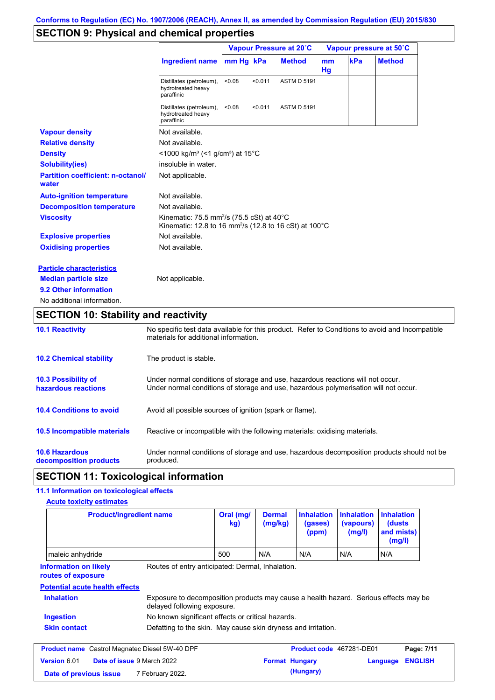# **SECTION 9: Physical and chemical properties**

|                                                   |                                                                                                                                         |        | Vapour Pressure at 20°C |                    |                      | Vapour pressure at 50°C |               |  |
|---------------------------------------------------|-----------------------------------------------------------------------------------------------------------------------------------------|--------|-------------------------|--------------------|----------------------|-------------------------|---------------|--|
|                                                   | Ingredient name mm Hg kPa                                                                                                               |        |                         | <b>Method</b>      | m <sub>m</sub><br>Hg | kPa                     | <b>Method</b> |  |
|                                                   | Distillates (petroleum),<br>hydrotreated heavy<br>paraffinic                                                                            | < 0.08 | < 0.011                 | <b>ASTM D 5191</b> |                      |                         |               |  |
|                                                   | Distillates (petroleum),<br>hydrotreated heavy<br>paraffinic                                                                            | < 0.08 | < 0.011                 | <b>ASTM D 5191</b> |                      |                         |               |  |
| <b>Vapour density</b>                             | Not available.                                                                                                                          |        |                         |                    |                      |                         |               |  |
| <b>Relative density</b>                           | Not available.                                                                                                                          |        |                         |                    |                      |                         |               |  |
| <b>Density</b>                                    | <1000 kg/m <sup>3</sup> (<1 g/cm <sup>3</sup> ) at 15 <sup>°</sup> C                                                                    |        |                         |                    |                      |                         |               |  |
| <b>Solubility(ies)</b>                            | insoluble in water.                                                                                                                     |        |                         |                    |                      |                         |               |  |
| <b>Partition coefficient: n-octanol/</b><br>water | Not applicable.                                                                                                                         |        |                         |                    |                      |                         |               |  |
| <b>Auto-ignition temperature</b>                  | Not available.                                                                                                                          |        |                         |                    |                      |                         |               |  |
| <b>Decomposition temperature</b>                  | Not available.                                                                                                                          |        |                         |                    |                      |                         |               |  |
| <b>Viscosity</b>                                  | Kinematic: 75.5 mm <sup>2</sup> /s (75.5 cSt) at 40 $^{\circ}$ C<br>Kinematic: 12.8 to 16 mm <sup>2</sup> /s (12.8 to 16 cSt) at 100 °C |        |                         |                    |                      |                         |               |  |
| <b>Explosive properties</b>                       | Not available.                                                                                                                          |        |                         |                    |                      |                         |               |  |
| <b>Oxidising properties</b>                       | Not available.                                                                                                                          |        |                         |                    |                      |                         |               |  |
| <b>Particle characteristics</b>                   |                                                                                                                                         |        |                         |                    |                      |                         |               |  |
| <b>Median particle size</b>                       | Not applicable.                                                                                                                         |        |                         |                    |                      |                         |               |  |
| 9.2 Other information                             |                                                                                                                                         |        |                         |                    |                      |                         |               |  |
| No additional information.                        |                                                                                                                                         |        |                         |                    |                      |                         |               |  |

## **SECTION 10: Stability and reactivity**

| <b>10.1 Reactivity</b>                            | No specific test data available for this product. Refer to Conditions to avoid and Incompatible<br>materials for additional information.                                |
|---------------------------------------------------|-------------------------------------------------------------------------------------------------------------------------------------------------------------------------|
| <b>10.2 Chemical stability</b>                    | The product is stable.                                                                                                                                                  |
| <b>10.3 Possibility of</b><br>hazardous reactions | Under normal conditions of storage and use, hazardous reactions will not occur.<br>Under normal conditions of storage and use, hazardous polymerisation will not occur. |
| <b>10.4 Conditions to avoid</b>                   | Avoid all possible sources of ignition (spark or flame).                                                                                                                |
| 10.5 Incompatible materials                       | Reactive or incompatible with the following materials: oxidising materials.                                                                                             |
| <b>10.6 Hazardous</b><br>decomposition products   | Under normal conditions of storage and use, hazardous decomposition products should not be<br>produced.                                                                 |

## **SECTION 11: Toxicological information**

### **11.1 Information on toxicological effects**

| <b>Product/ingredient name</b>                        |                                                                                                                     | Oral (mg/<br>kg) | <b>Dermal</b><br>(mg/kg) | <b>Inhalation</b><br>(gases)<br>(ppm) | <b>Inhalation</b><br>(vapours)<br>(mg/l) | <b>Inhalation</b><br>(dusts)<br>and mists)<br>(mg/l) |                              |
|-------------------------------------------------------|---------------------------------------------------------------------------------------------------------------------|------------------|--------------------------|---------------------------------------|------------------------------------------|------------------------------------------------------|------------------------------|
| maleic anhydride                                      |                                                                                                                     | 500              | N/A                      | N/A                                   | N/A                                      | N/A                                                  |                              |
| <b>Information on likely</b><br>routes of exposure    | Routes of entry anticipated: Dermal, Inhalation.                                                                    |                  |                          |                                       |                                          |                                                      |                              |
| <b>Potential acute health effects</b>                 |                                                                                                                     |                  |                          |                                       |                                          |                                                      |                              |
|                                                       |                                                                                                                     |                  |                          |                                       |                                          |                                                      |                              |
| <b>Inhalation</b>                                     | Exposure to decomposition products may cause a health hazard. Serious effects may be<br>delayed following exposure. |                  |                          |                                       |                                          |                                                      |                              |
| Ingestion                                             | No known significant effects or critical hazards.                                                                   |                  |                          |                                       |                                          |                                                      |                              |
| <b>Skin contact</b>                                   | Defatting to the skin. May cause skin dryness and irritation.                                                       |                  |                          |                                       |                                          |                                                      |                              |
| <b>Product name</b> Castrol Magnatec Diesel 5W-40 DPF |                                                                                                                     |                  |                          | Product code 467281-DE01              |                                          |                                                      |                              |
| Version 6.01                                          | Date of issue 9 March 2022                                                                                          |                  | <b>Format Hungary</b>    |                                       |                                          | Language                                             | Page: 7/11<br><b>ENGLISH</b> |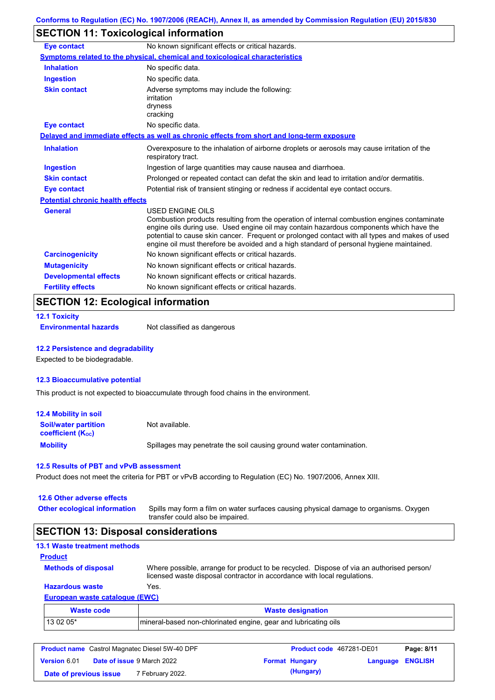# **SECTION 11: Toxicological information**

| <b>Eye contact</b>                      | No known significant effects or critical hazards.                                                                                                                                                                                                                                                                                                                                                               |
|-----------------------------------------|-----------------------------------------------------------------------------------------------------------------------------------------------------------------------------------------------------------------------------------------------------------------------------------------------------------------------------------------------------------------------------------------------------------------|
|                                         | <b>Symptoms related to the physical, chemical and toxicological characteristics</b>                                                                                                                                                                                                                                                                                                                             |
| <b>Inhalation</b>                       | No specific data.                                                                                                                                                                                                                                                                                                                                                                                               |
| <b>Ingestion</b>                        | No specific data.                                                                                                                                                                                                                                                                                                                                                                                               |
| <b>Skin contact</b>                     | Adverse symptoms may include the following:<br>irritation<br>dryness<br>cracking                                                                                                                                                                                                                                                                                                                                |
| <b>Eye contact</b>                      | No specific data.                                                                                                                                                                                                                                                                                                                                                                                               |
|                                         | Delayed and immediate effects as well as chronic effects from short and long-term exposure                                                                                                                                                                                                                                                                                                                      |
| <b>Inhalation</b>                       | Overexposure to the inhalation of airborne droplets or aerosols may cause irritation of the<br>respiratory tract.                                                                                                                                                                                                                                                                                               |
| <b>Ingestion</b>                        | Ingestion of large quantities may cause nausea and diarrhoea.                                                                                                                                                                                                                                                                                                                                                   |
| <b>Skin contact</b>                     | Prolonged or repeated contact can defat the skin and lead to irritation and/or dermatitis.                                                                                                                                                                                                                                                                                                                      |
| <b>Eye contact</b>                      | Potential risk of transient stinging or redness if accidental eye contact occurs.                                                                                                                                                                                                                                                                                                                               |
| <b>Potential chronic health effects</b> |                                                                                                                                                                                                                                                                                                                                                                                                                 |
| <b>General</b>                          | <b>USED ENGINE OILS</b><br>Combustion products resulting from the operation of internal combustion engines contaminate<br>engine oils during use. Used engine oil may contain hazardous components which have the<br>potential to cause skin cancer. Frequent or prolonged contact with all types and makes of used<br>engine oil must therefore be avoided and a high standard of personal hygiene maintained. |
| <b>Carcinogenicity</b>                  | No known significant effects or critical hazards.                                                                                                                                                                                                                                                                                                                                                               |
| <b>Mutagenicity</b>                     | No known significant effects or critical hazards.                                                                                                                                                                                                                                                                                                                                                               |
| <b>Developmental effects</b>            | No known significant effects or critical hazards.                                                                                                                                                                                                                                                                                                                                                               |
| <b>Fertility effects</b>                | No known significant effects or critical hazards.                                                                                                                                                                                                                                                                                                                                                               |

## **SECTION 12: Ecological information**

|  |  | <b>12.1 Toxicity</b> |  |  |
|--|--|----------------------|--|--|
|--|--|----------------------|--|--|

**Environmental hazards** Not classified as dangerous

### **12.2 Persistence and degradability**

Expected to be biodegradable.

### **12.3 Bioaccumulative potential**

This product is not expected to bioaccumulate through food chains in the environment.

| <b>12.4 Mobility in soil</b>                                         |                                                                      |
|----------------------------------------------------------------------|----------------------------------------------------------------------|
| <b>Soil/water partition</b><br><b>coefficient</b> (K <sub>oc</sub> ) | Not available.                                                       |
| <b>Mobility</b>                                                      | Spillages may penetrate the soil causing ground water contamination. |

#### **12.5 Results of PBT and vPvB assessment**

Product does not meet the criteria for PBT or vPvB according to Regulation (EC) No. 1907/2006, Annex XIII.

| 12.6 Other adverse effects          |                                                                                                                           |
|-------------------------------------|---------------------------------------------------------------------------------------------------------------------------|
| <b>Other ecological information</b> | Spills may form a film on water surfaces causing physical damage to organisms. Oxygen<br>transfer could also be impaired. |

# **SECTION 13: Disposal considerations**

| <b>13.1 Waste treatment methods</b> |                                                                                                                                                                      |
|-------------------------------------|----------------------------------------------------------------------------------------------------------------------------------------------------------------------|
| <b>Product</b>                      |                                                                                                                                                                      |
| <b>Methods of disposal</b>          | Where possible, arrange for product to be recycled. Dispose of via an authorised person/<br>licensed waste disposal contractor in accordance with local regulations. |
| <b>Hazardous waste</b>              | Yes.                                                                                                                                                                 |
| European waste catalogue (EWC)      |                                                                                                                                                                      |
| <b>Waste code</b>                   | <b>Waste designation</b>                                                                                                                                             |

| TTUJIV VUUV | <b>THUSIC UCSINIBILITY</b>                                         |
|-------------|--------------------------------------------------------------------|
| 3 02 05'    | mineral-based non-chlorinated engine, gear and lubricating<br>oils |
|             |                                                                    |

| <b>Product name</b> Castrol Magnatec Diesel 5W-40 DPF |  |                                   | Product code 467281-DE01 |                       | Page: 8/11       |  |
|-------------------------------------------------------|--|-----------------------------------|--------------------------|-----------------------|------------------|--|
| <b>Version 6.01</b>                                   |  | <b>Date of issue 9 March 2022</b> |                          | <b>Format Hungary</b> | Language ENGLISH |  |
| Date of previous issue                                |  | 7 February 2022.                  |                          | (Hungary)             |                  |  |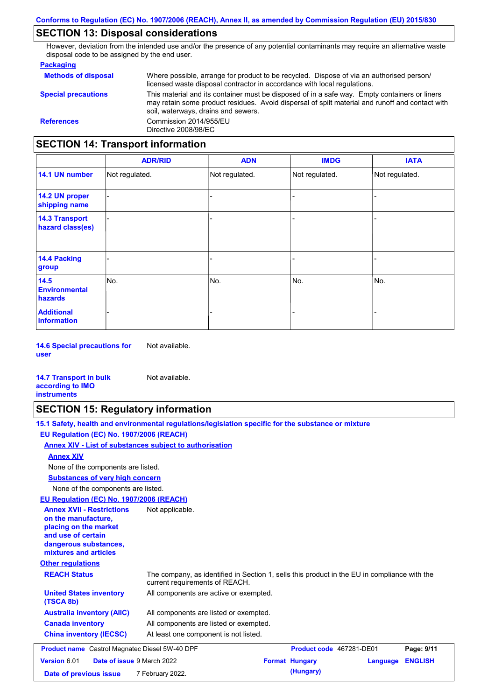## **SECTION 13: Disposal considerations**

However, deviation from the intended use and/or the presence of any potential contaminants may require an alternative waste disposal code to be assigned by the end user.

### **Packaging**

| <b>Methods of disposal</b>        | Where possible, arrange for product to be recycled. Dispose of via an authorised person/<br>licensed waste disposal contractor in accordance with local regulations.                                                                    |  |  |  |
|-----------------------------------|-----------------------------------------------------------------------------------------------------------------------------------------------------------------------------------------------------------------------------------------|--|--|--|
| <b>Special precautions</b>        | This material and its container must be disposed of in a safe way. Empty containers or liners<br>may retain some product residues. Avoid dispersal of spilt material and runoff and contact with<br>soil, waterways, drains and sewers. |  |  |  |
| <b>References</b>                 | Commission 2014/955/EU<br>Directive 2008/98/EC                                                                                                                                                                                          |  |  |  |
| SECTION 14: Transnort information |                                                                                                                                                                                                                                         |  |  |  |

## **SECTION 14: Transport information**

|                                           | <b>ADR/RID</b> | <b>ADN</b>     | <b>IMDG</b>    | <b>IATA</b>    |
|-------------------------------------------|----------------|----------------|----------------|----------------|
| 14.1 UN number                            | Not regulated. | Not regulated. | Not regulated. | Not regulated. |
| 14.2 UN proper<br>shipping name           |                |                |                |                |
| <b>14.3 Transport</b><br>hazard class(es) |                |                | -              |                |
| 14.4 Packing<br>group                     |                |                | $\blacksquare$ |                |
| 14.5<br><b>Environmental</b><br>hazards   | No.            | No.            | No.            | No.            |
| <b>Additional</b><br>information          |                |                | -              |                |

**14.6 Special precautions for user** Not available.

#### **14.7 Transport in bulk according to IMO instruments**

### **SECTION 15: Regulatory information**

| 15.1 Safety, health and environmental regulations/legislation specific for the substance or mixture |  |
|-----------------------------------------------------------------------------------------------------|--|
| EU Regulation (EC) No. 1907/2006 (REACH)                                                            |  |

#### **Annex XIV - List of substances subject to authorisation**

Not available.

### **Annex XIV**

None of the components are listed.

**Substances of very high concern**

None of the components are listed.

### **EU Regulation (EC) No. 1907/2006 (REACH)**

| EU Requiation (EC) No. 1907/2006 (REACH)                                                                                                                 |                                                                                                                                |                          |          |                |
|----------------------------------------------------------------------------------------------------------------------------------------------------------|--------------------------------------------------------------------------------------------------------------------------------|--------------------------|----------|----------------|
| <b>Annex XVII - Restrictions</b><br>on the manufacture.<br>placing on the market<br>and use of certain<br>dangerous substances,<br>mixtures and articles | Not applicable.                                                                                                                |                          |          |                |
| <b>Other regulations</b>                                                                                                                                 |                                                                                                                                |                          |          |                |
| <b>REACH Status</b>                                                                                                                                      | The company, as identified in Section 1, sells this product in the EU in compliance with the<br>current requirements of REACH. |                          |          |                |
| <b>United States inventory</b><br>(TSCA 8b)                                                                                                              | All components are active or exempted.                                                                                         |                          |          |                |
| <b>Australia inventory (AIIC)</b>                                                                                                                        | All components are listed or exempted.                                                                                         |                          |          |                |
| <b>Canada inventory</b>                                                                                                                                  | All components are listed or exempted.                                                                                         |                          |          |                |
| <b>China inventory (IECSC)</b>                                                                                                                           | At least one component is not listed.                                                                                          |                          |          |                |
| <b>Product name</b> Castrol Magnatec Diesel 5W-40 DPF                                                                                                    |                                                                                                                                | Product code 467281-DE01 |          | Page: 9/11     |
| Version 6.01<br><b>Date of issue 9 March 2022</b>                                                                                                        |                                                                                                                                | <b>Format Hungary</b>    | Language | <b>ENGLISH</b> |
| Date of previous issue                                                                                                                                   | 7 February 2022.                                                                                                               | (Hungary)                |          |                |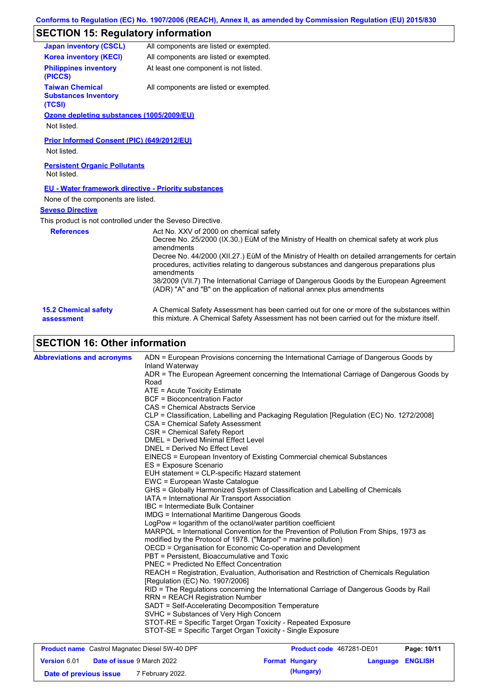# **SECTION 15: Regulatory information**

| <b>Japan inventory (CSCL)</b>                                   | All components are listed or exempted.                                                                                                                                                                                                                                                                                                                                                                                                                                                                                             |  |  |  |
|-----------------------------------------------------------------|------------------------------------------------------------------------------------------------------------------------------------------------------------------------------------------------------------------------------------------------------------------------------------------------------------------------------------------------------------------------------------------------------------------------------------------------------------------------------------------------------------------------------------|--|--|--|
| <b>Korea inventory (KECI)</b>                                   | All components are listed or exempted.                                                                                                                                                                                                                                                                                                                                                                                                                                                                                             |  |  |  |
| <b>Philippines inventory</b><br>(PICCS)                         | At least one component is not listed.                                                                                                                                                                                                                                                                                                                                                                                                                                                                                              |  |  |  |
| <b>Taiwan Chemical</b><br><b>Substances Inventory</b><br>(TCSI) | All components are listed or exempted.                                                                                                                                                                                                                                                                                                                                                                                                                                                                                             |  |  |  |
| Ozone depleting substances (1005/2009/EU)                       |                                                                                                                                                                                                                                                                                                                                                                                                                                                                                                                                    |  |  |  |
| Not listed.                                                     |                                                                                                                                                                                                                                                                                                                                                                                                                                                                                                                                    |  |  |  |
| <b>Prior Informed Consent (PIC) (649/2012/EU)</b>               |                                                                                                                                                                                                                                                                                                                                                                                                                                                                                                                                    |  |  |  |
| Not listed.                                                     |                                                                                                                                                                                                                                                                                                                                                                                                                                                                                                                                    |  |  |  |
| <b>Persistent Organic Pollutants</b><br>Not listed.             |                                                                                                                                                                                                                                                                                                                                                                                                                                                                                                                                    |  |  |  |
| <b>EU - Water framework directive - Priority substances</b>     |                                                                                                                                                                                                                                                                                                                                                                                                                                                                                                                                    |  |  |  |
| None of the components are listed.                              |                                                                                                                                                                                                                                                                                                                                                                                                                                                                                                                                    |  |  |  |
| <b>Seveso Directive</b>                                         |                                                                                                                                                                                                                                                                                                                                                                                                                                                                                                                                    |  |  |  |
| This product is not controlled under the Seveso Directive.      |                                                                                                                                                                                                                                                                                                                                                                                                                                                                                                                                    |  |  |  |
| <b>References</b>                                               | Act No. XXV of 2000 on chemical safety<br>Decree No. 25/2000 (IX.30.) EüM of the Ministry of Health on chemical safety at work plus<br>amendments<br>Decree No. 44/2000 (XII.27.) EüM of the Ministry of Health on detailed arrangements for certain<br>procedures, activities relating to dangerous substances and dangerous preparations plus<br>amendments<br>38/2009 (VII.7) The International Carriage of Dangerous Goods by the European Agreement<br>(ADR) "A" and "B" on the application of national annex plus amendments |  |  |  |
| <b>15.2 Chemical safety</b>                                     | A Chemical Safety Assessment has been carried out for one or more of the substances within<br>this mixture. A Chemical Safety Assessment has not been carried out for the mixture itself.                                                                                                                                                                                                                                                                                                                                          |  |  |  |

# **SECTION 16: Other information**

| <b>Abbreviations and acronyms</b> | ADN = European Provisions concerning the International Carriage of Dangerous Goods by<br>Inland Waterway<br>ADR = The European Agreement concerning the International Carriage of Dangerous Goods by<br>Road<br>ATE = Acute Toxicity Estimate<br><b>BCF</b> = Bioconcentration Factor<br>CAS = Chemical Abstracts Service<br>CLP = Classification, Labelling and Packaging Regulation [Regulation (EC) No. 1272/2008]<br><b>CSA = Chemical Safety Assessment</b><br>CSR = Chemical Safety Report<br><b>DMEL = Derived Minimal Effect Level</b><br>DNEL = Derived No Effect Level<br>EINECS = European Inventory of Existing Commercial chemical Substances<br>ES = Exposure Scenario<br>EUH statement = CLP-specific Hazard statement<br>EWC = European Waste Catalogue<br>GHS = Globally Harmonized System of Classification and Labelling of Chemicals<br>IATA = International Air Transport Association<br>IBC = Intermediate Bulk Container<br><b>IMDG</b> = International Maritime Dangerous Goods<br>LogPow = logarithm of the octanol/water partition coefficient<br>MARPOL = International Convention for the Prevention of Pollution From Ships, 1973 as<br>modified by the Protocol of 1978. ("Marpol" = marine pollution)<br>OECD = Organisation for Economic Co-operation and Development<br>PBT = Persistent, Bioaccumulative and Toxic<br><b>PNEC = Predicted No Effect Concentration</b><br>REACH = Registration, Evaluation, Authorisation and Restriction of Chemicals Regulation<br>[Regulation (EC) No. 1907/2006]<br>RID = The Regulations concerning the International Carriage of Dangerous Goods by Rail<br><b>RRN = REACH Registration Number</b><br>SADT = Self-Accelerating Decomposition Temperature<br>SVHC = Substances of Very High Concern |
|-----------------------------------|---------------------------------------------------------------------------------------------------------------------------------------------------------------------------------------------------------------------------------------------------------------------------------------------------------------------------------------------------------------------------------------------------------------------------------------------------------------------------------------------------------------------------------------------------------------------------------------------------------------------------------------------------------------------------------------------------------------------------------------------------------------------------------------------------------------------------------------------------------------------------------------------------------------------------------------------------------------------------------------------------------------------------------------------------------------------------------------------------------------------------------------------------------------------------------------------------------------------------------------------------------------------------------------------------------------------------------------------------------------------------------------------------------------------------------------------------------------------------------------------------------------------------------------------------------------------------------------------------------------------------------------------------------------------------------------------------------------------------------------------------------------------------|
|                                   | STOT-RE = Specific Target Organ Toxicity - Repeated Exposure<br>STOT-SE = Specific Target Organ Toxicity - Single Exposure                                                                                                                                                                                                                                                                                                                                                                                                                                                                                                                                                                                                                                                                                                                                                                                                                                                                                                                                                                                                                                                                                                                                                                                                                                                                                                                                                                                                                                                                                                                                                                                                                                                |

| <b>Product name</b> Castrol Magnatec Diesel 5W-40 DPF |                                   |                  |  | <b>Product code</b> 467281-DE01 | Page: 10/11             |  |
|-------------------------------------------------------|-----------------------------------|------------------|--|---------------------------------|-------------------------|--|
| <b>Version 6.01</b>                                   | <b>Date of issue 9 March 2022</b> |                  |  | <b>Format Hungary</b>           | <b>Language ENGLISH</b> |  |
| Date of previous issue                                |                                   | 7 February 2022. |  | (Hungary)                       |                         |  |